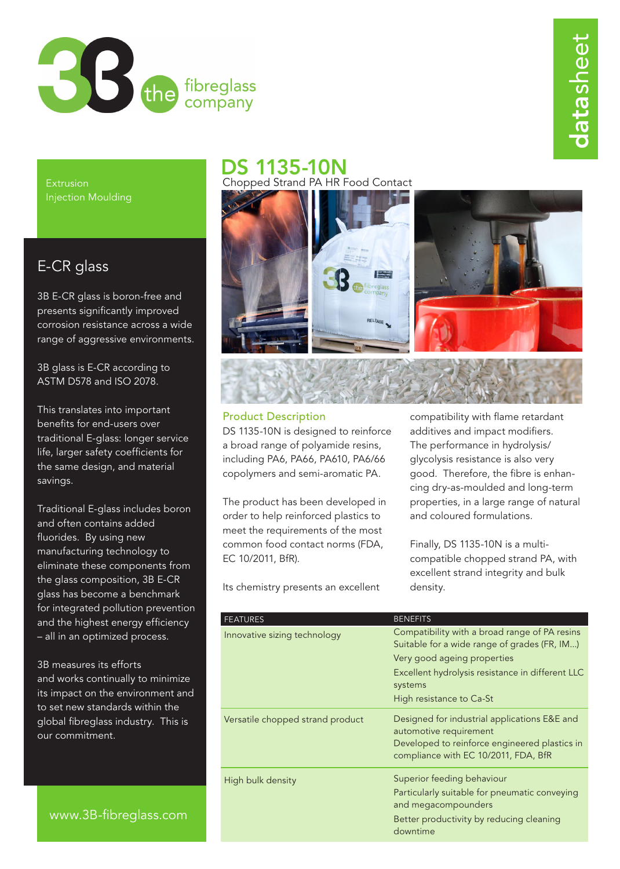

datasheet datasheet

Extrusion Injection Moulding

## E-CR glass

3B E-CR glass is boron-free and presents significantly improved corrosion resistance across a wide range of aggressive environments.

3B glass is E-CR according to ASTM D578 and ISO 2078.

This translates into important benefits for end-users over traditional E-glass: longer service life, larger safety coefficients for the same design, and material savings.

Traditional E-glass includes boron and often contains added fluorides. By using new manufacturing technology to eliminate these components from the glass composition, 3B E-CR glass has become a benchmark for integrated pollution prevention and the highest energy efficiency – all in an optimized process.

3B measures its efforts and works continually to minimize its impact on the environment and to set new standards within the global fibreglass industry. This is our commitment.

# DS 1135-10N

Chopped Strand PA HR Food Contact



### Product Description

DS 1135-10N is designed to reinforce a broad range of polyamide resins, including PA6, PA66, PA610, PA6/66 copolymers and semi-aromatic PA.

The product has been developed in order to help reinforced plastics to meet the requirements of the most common food contact norms (FDA, EC 10/2011, BfR).

Its chemistry presents an excellent

compatibility with flame retardant additives and impact modifiers. The performance in hydrolysis/ glycolysis resistance is also very good. Therefore, the fibre is enhancing dry-as-moulded and long-term properties, in a large range of natural and coloured formulations.

Finally, DS 1135-10N is a multicompatible chopped strand PA, with excellent strand integrity and bulk density.

| <b>FEATURES</b>                  | <b>BENEFITS</b>                                                                                                                                                 |
|----------------------------------|-----------------------------------------------------------------------------------------------------------------------------------------------------------------|
| Innovative sizing technology     | Compatibility with a broad range of PA resins<br>Suitable for a wide range of grades (FR, IM)                                                                   |
|                                  | Very good ageing properties                                                                                                                                     |
|                                  | Excellent hydrolysis resistance in different LLC<br>systems                                                                                                     |
|                                  | High resistance to Ca-St                                                                                                                                        |
| Versatile chopped strand product | Designed for industrial applications E&E and<br>automotive requirement<br>Developed to reinforce engineered plastics in<br>compliance with EC 10/2011, FDA, BfR |
| High bulk density                | Superior feeding behaviour                                                                                                                                      |
|                                  | Particularly suitable for pneumatic conveying<br>and megacompounders                                                                                            |
|                                  | Better productivity by reducing cleaning<br>downtime                                                                                                            |